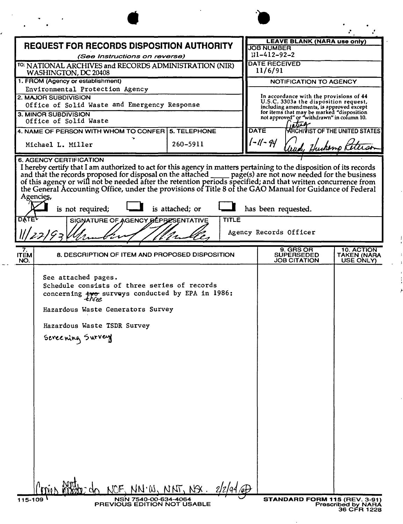| <b>REQUEST FOR RECORDS DISPOSITION AUTHORITY</b>                                                                                                                                                                                                                                                                                                                                                                                                                                                         |                                                 |          |  | <b>LEAVE BLANK (NARA use only)</b><br><b>JOB NUMBER</b><br>$11 - 412 - 92 - 2$                                                            |                                        |  |
|----------------------------------------------------------------------------------------------------------------------------------------------------------------------------------------------------------------------------------------------------------------------------------------------------------------------------------------------------------------------------------------------------------------------------------------------------------------------------------------------------------|-------------------------------------------------|----------|--|-------------------------------------------------------------------------------------------------------------------------------------------|----------------------------------------|--|
| (See Instructions on reverse)<br><sup>TO:</sup> NATIONAL ARCHIVES and RECORDS ADMINISTRATION (NIR)<br>WASHINGTON, DC 20408                                                                                                                                                                                                                                                                                                                                                                               |                                                 |          |  | <b>DATE RECEIVED</b><br>11/6/91                                                                                                           |                                        |  |
| 1. FROM (Agency or establishment)                                                                                                                                                                                                                                                                                                                                                                                                                                                                        |                                                 |          |  | NOTIFICATION TO AGENCY                                                                                                                    |                                        |  |
| Environmental Protection Agency<br><b>2. MAJOR SUBDIVISION</b>                                                                                                                                                                                                                                                                                                                                                                                                                                           |                                                 |          |  | In accordance with the provisions of 44<br>U.S.C. 3303a the disposition request,<br>including amendments, is approved except              |                                        |  |
| Office of Solid Waste and Emergency Response                                                                                                                                                                                                                                                                                                                                                                                                                                                             |                                                 |          |  |                                                                                                                                           |                                        |  |
| 3. MINOR SUBDIVISION<br>Office of Solid Waste                                                                                                                                                                                                                                                                                                                                                                                                                                                            |                                                 |          |  | for items that may be marked "disposition<br>not approved" or "withdrawn" in column 10.<br>DATE<br><b>ARCHIVIST OF THE UNITED STATES!</b> |                                        |  |
| 4. NAME OF PERSON WITH WHOM TO CONFER 5. TELEPHONE                                                                                                                                                                                                                                                                                                                                                                                                                                                       |                                                 |          |  |                                                                                                                                           |                                        |  |
| Michael L. Miller                                                                                                                                                                                                                                                                                                                                                                                                                                                                                        |                                                 | 260-5911 |  | -1 -94                                                                                                                                    |                                        |  |
| 6. AGENCY CERTIFICATION<br>I hereby certify that I am authorized to act for this agency in matters pertaining to the disposition of its records<br>and that the records proposed for disposal on the attached _<br>page(s) are not now needed for the business<br>of this agency or will not be needed after the retention periods specified; and that written concurrence from<br>the General Accounting Office, under the provisions of Title 8 of the GAO Manual for Guidance of Federal<br>Agencies, |                                                 |          |  |                                                                                                                                           |                                        |  |
| is not required;<br>is attached; or<br>has been requested.<br><b>DATE</b><br><b>TITLE</b>                                                                                                                                                                                                                                                                                                                                                                                                                |                                                 |          |  |                                                                                                                                           |                                        |  |
| SIGNATURE OF AGENCY REPRESENTATIVE<br>Agency Records Officer                                                                                                                                                                                                                                                                                                                                                                                                                                             |                                                 |          |  |                                                                                                                                           |                                        |  |
| 7.<br><b>ITEM</b><br>NO.                                                                                                                                                                                                                                                                                                                                                                                                                                                                                 | 8. DESCRIPTION OF ITEM AND PROPOSED DISPOSITION |          |  | 9. GRS OR<br><b>SUPERSEDED</b><br><b>JOB CITATION</b>                                                                                     | 10. ACTION<br>TAKEN (NARA<br>USE ONLY) |  |
| See attached pages.<br>Schedule consists of three series of records<br>concerning $\frac{1}{2}$ surveys conducted by EPA in 1986:                                                                                                                                                                                                                                                                                                                                                                        |                                                 |          |  |                                                                                                                                           |                                        |  |
|                                                                                                                                                                                                                                                                                                                                                                                                                                                                                                          | Hazardous Waste Generators Survey               |          |  |                                                                                                                                           |                                        |  |
| Hazardous Waste TSDR Survey                                                                                                                                                                                                                                                                                                                                                                                                                                                                              |                                                 |          |  |                                                                                                                                           |                                        |  |
| Screening Survey                                                                                                                                                                                                                                                                                                                                                                                                                                                                                         |                                                 |          |  |                                                                                                                                           |                                        |  |
|                                                                                                                                                                                                                                                                                                                                                                                                                                                                                                          |                                                 |          |  |                                                                                                                                           |                                        |  |
|                                                                                                                                                                                                                                                                                                                                                                                                                                                                                                          |                                                 |          |  |                                                                                                                                           |                                        |  |
|                                                                                                                                                                                                                                                                                                                                                                                                                                                                                                          |                                                 |          |  |                                                                                                                                           |                                        |  |
|                                                                                                                                                                                                                                                                                                                                                                                                                                                                                                          |                                                 |          |  |                                                                                                                                           |                                        |  |
|                                                                                                                                                                                                                                                                                                                                                                                                                                                                                                          |                                                 |          |  |                                                                                                                                           |                                        |  |
|                                                                                                                                                                                                                                                                                                                                                                                                                                                                                                          |                                                 |          |  |                                                                                                                                           |                                        |  |
|                                                                                                                                                                                                                                                                                                                                                                                                                                                                                                          |                                                 |          |  |                                                                                                                                           |                                        |  |
|                                                                                                                                                                                                                                                                                                                                                                                                                                                                                                          |                                                 |          |  |                                                                                                                                           |                                        |  |
|                                                                                                                                                                                                                                                                                                                                                                                                                                                                                                          |                                                 |          |  |                                                                                                                                           |                                        |  |
|                                                                                                                                                                                                                                                                                                                                                                                                                                                                                                          |                                                 |          |  |                                                                                                                                           |                                        |  |
|                                                                                                                                                                                                                                                                                                                                                                                                                                                                                                          |                                                 |          |  |                                                                                                                                           |                                        |  |
|                                                                                                                                                                                                                                                                                                                                                                                                                                                                                                          |                                                 |          |  |                                                                                                                                           |                                        |  |
| 115-109                                                                                                                                                                                                                                                                                                                                                                                                                                                                                                  | NCF. NN.W. NNT, NSX.<br>NSN 7540-00-634-4064    |          |  | STANDARD FORM 115 (REV. 3-91)                                                                                                             |                                        |  |

J

 $\sim$   $\sim$ 

**NWML** 

ł

 $\mathbf{I}$ 

 $\bar{\mathrm{t}}$  $\frac{1}{2}$  $\overline{r}$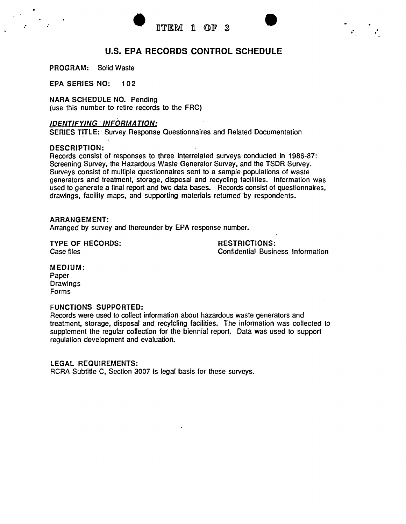$\mathcal{E}_i = \frac{1}{\mathcal{E}_i}$ 



# U.S. **EPA RECORDS CONTROL SCHEDULE**

PROGRAM: Solid Waste

EPA SERIES NO: 1 02

NARA SCHEDULE NO. Pending (use this number to retire records to the FRC)

# *IDENTIFYING INFORMATION:*

SERIES TITLE: ' Survey Response Questionnaires and Related Documentation

## DESCRIPTION:

Records consist of responses to three interrelated surveys conducted in 1986-87: Screening Survey, the Hazardous Waste Generator Survey, and the TSDR Survey. Surveys consist of multiple questionnaires sent to a sample populations of waste generators and treatment, storage, disposal and recycling facilities. Information was used to generate a final report and two data bases. Records consist of questionnaires. drawings. facility maps, and supporting materials returned by respondents.

## ARRANGEMENT:

Arranged by survey and thereunder by EPA response number.

TYPE OF RECORDS: Case files

RESTRICTIONS: Confidential Business Information

MEDIUM:

Paper Drawings Forms

## FUNCTIONS SUPPORTED:

Records were used to collect information about hazardous waste generators and treatment, storage. disposal and recylcling facilities. The information was collected to supplement the regular collection for the biennial report. Data was used to support regulation development and evaluation.

## LEGAL REQUIREMENTS:

RCRA Subtitle C, Section 3007 is legal basis for these surveys.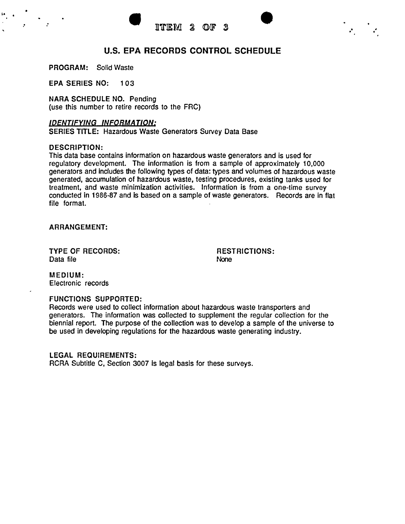•

 $\mathbf{r}$ 



# U.S. **EPA RECORDS CONTROL SCHEDULE**

PROGRAM: Solid Waste

•

 $\mathcal{F} = \{ \mathcal{F} \mid \mathcal{F} \in \mathcal{F} \}$ 

EPA SERIES NO: 103

NARA SCHEDULE NO. Pending (use this number to retire records to the FRC)

## *IDENTIFYING INFORMATION:*

SERIES TITLE: Hazardous Waste Generators Survey Data Base

#### DESCRIPTION:

This data base contains information on hazardous waste generators and is used for regulatory development. The information is from a sample of approximately 10,000 generators and includes the following types of data: types and volumes of hazardous waste generated, accumulation of hazardous waste, testing procedures, existing tanks used for treatment, and waste minimization activities. Information is from a one-time survey conducted in 1986-87 and is based on a sample of waste generators. Records are in flat file format.

ARRANGEMENT:

TYPE OF RECORDS: Data file

RESTRICTIONS: None

MEDIUM: Electronic records

# FUNCTIONS SUPPORTED:

Records were used to collect information about hazardous waste transporters and generators. The information was collected to supplement the regular collection for the biennial report. The purpose of the collection was to develop a sample of the universe to be used in developing regulations for the hazardous waste generating industry.

LEGAL REQUIREMENTS:

RCRA Subtitle C, Section 3007 is legal basis for these surveys.